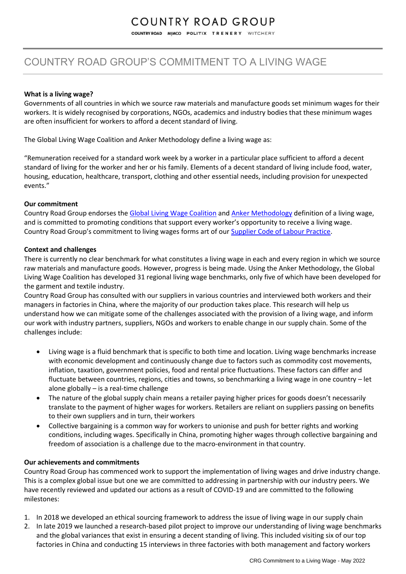## COUNTRY ROAD GROUP

COUNTRY ROAD MIMCO POLITIX TRENERY WITCHERY

### COUNTRY ROAD GROUP'S COMMITMENT TO A LIVING WAGE

#### **What is a living wage?**

Governments of all countries in which we source raw materials and manufacture goods set minimum wages for their workers. It is widely recognised by corporations, NGOs, academics and industry bodies that these minimum wages are often insufficient for workers to afford a decent standard of living.

The Global Living Wage Coalition and Anker Methodology define a living wage as:

"Remuneration received for a standard work week by a worker in a particular place sufficient to afford a decent standard of living for the worker and her or his family. Elements of a decent standard of living include food, water, housing, education, healthcare, transport, clothing and other essential needs, including provision for unexpected events."

#### **Our commitment**

Country Road Group endorses the [Global Living Wage Coalition](https://www.globallivingwage.org/) an[d Anker Methodology](https://www.globallivingwage.org/about/anker-methodology/) definition of a living wage, and is committed to promoting conditions that support every worker's opportunity to receive a living wage. Country Road Group's commitment to living wages forms art of our [Supplier Code of Labour Practice.](https://www.countryroadgroup.com.au/images/assetimages/sustainability/CRG-Code-of-Labour-Practice-May-2022.pdf)

#### **Context and challenges**

There is currently no clear benchmark for what constitutes a living wage in each and every region in which we source raw materials and manufacture goods. However, progress is being made. Using the Anker Methodology, the Global Living Wage Coalition has developed 31 regional living wage benchmarks, only five of which have been developed for the garment and textile industry.

Country Road Group has consulted with our suppliers in various countries and interviewed both workers and their managers in factories in China, where the majority of our production takes place. This research will help us understand how we can mitigate some of the challenges associated with the provision of a living wage, and inform our work with industry partners, suppliers, NGOs and workers to enable change in our supply chain. Some of the challenges include:

- Living wage is a fluid benchmark that is specific to both time and location. Living wage benchmarks increase with economic development and continuously change due to factors such as commodity cost movements, inflation, taxation, government policies, food and rental price fluctuations. These factors can differ and fluctuate between countries, regions, cities and towns, so benchmarking a living wage in one country – let alone globally – is a real-time challenge
- The nature of the global supply chain means a retailer paying higher prices for goods doesn't necessarily translate to the payment of higher wages for workers. Retailers are reliant on suppliers passing on benefits to their own suppliers and in turn, their workers
- Collective bargaining is a common way for workers to unionise and push for better rights and working conditions, including wages. Specifically in China, promoting higher wages through collective bargaining and freedom of association is a challenge due to the macro-environment in that country.

#### **Our achievements and commitments**

Country Road Group has commenced work to support the implementation of living wages and drive industry change. This is a complex global issue but one we are committed to addressing in partnership with our industry peers. We have recently reviewed and updated our actions as a result of COVID-19 and are committed to the following milestones:

- 1. In 2018 we developed an ethical sourcing framework to address the issue of living wage in our supply chain
- 2. In late 2019 we launched a research-based pilot project to improve our understanding of living wage benchmarks and the global variances that exist in ensuring a decent standing of living. This included visiting six of our top factories in China and conducting 15 interviews in three factories with both management and factory workers